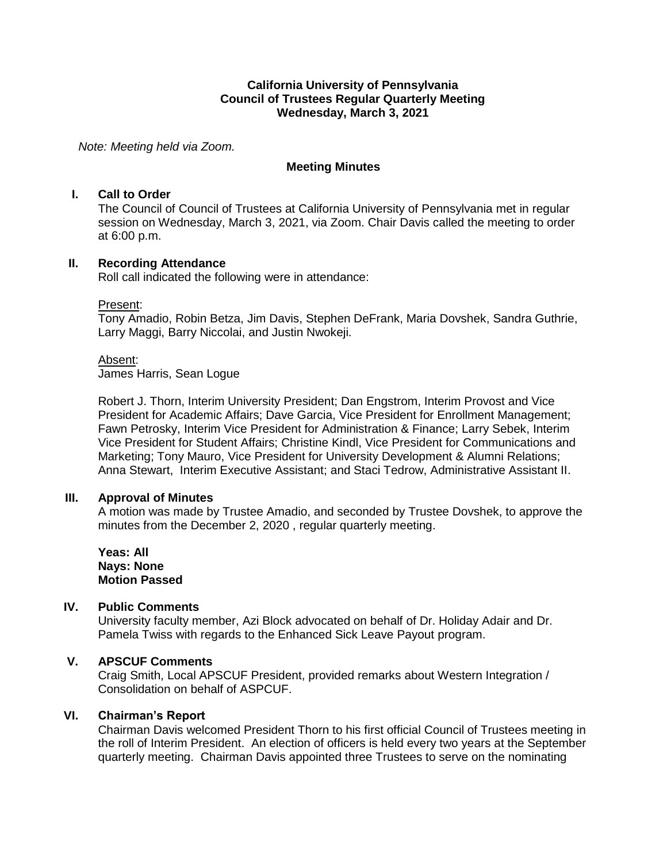#### **California University of Pennsylvania Council of Trustees Regular Quarterly Meeting Wednesday, March 3, 2021**

*Note: Meeting held via Zoom.*

#### **Meeting Minutes**

#### **I. Call to Order**

The Council of Council of Trustees at California University of Pennsylvania met in regular session on Wednesday, March 3, 2021, via Zoom. Chair Davis called the meeting to order at 6:00 p.m.

#### **II. Recording Attendance**

Roll call indicated the following were in attendance:

#### Present:

Tony Amadio, Robin Betza, Jim Davis, Stephen DeFrank, Maria Dovshek, Sandra Guthrie, Larry Maggi, Barry Niccolai, and Justin Nwokeji.

#### Absent:

James Harris, Sean Logue

Robert J. Thorn, Interim University President; Dan Engstrom, Interim Provost and Vice President for Academic Affairs; Dave Garcia, Vice President for Enrollment Management; Fawn Petrosky, Interim Vice President for Administration & Finance; Larry Sebek, Interim Vice President for Student Affairs; Christine Kindl, Vice President for Communications and Marketing; Tony Mauro, Vice President for University Development & Alumni Relations; Anna Stewart, Interim Executive Assistant; and Staci Tedrow, Administrative Assistant II.

#### **III. Approval of Minutes**

A motion was made by Trustee Amadio, and seconded by Trustee Dovshek, to approve the minutes from the December 2, 2020 , regular quarterly meeting.

**Yeas: All Nays: None Motion Passed**

## **IV. Public Comments**

University faculty member, Azi Block advocated on behalf of Dr. Holiday Adair and Dr. Pamela Twiss with regards to the Enhanced Sick Leave Payout program.

## **V. APSCUF Comments**

Craig Smith, Local APSCUF President, provided remarks about Western Integration / Consolidation on behalf of ASPCUF.

#### **VI. Chairman's Report**

Chairman Davis welcomed President Thorn to his first official Council of Trustees meeting in the roll of Interim President. An election of officers is held every two years at the September quarterly meeting. Chairman Davis appointed three Trustees to serve on the nominating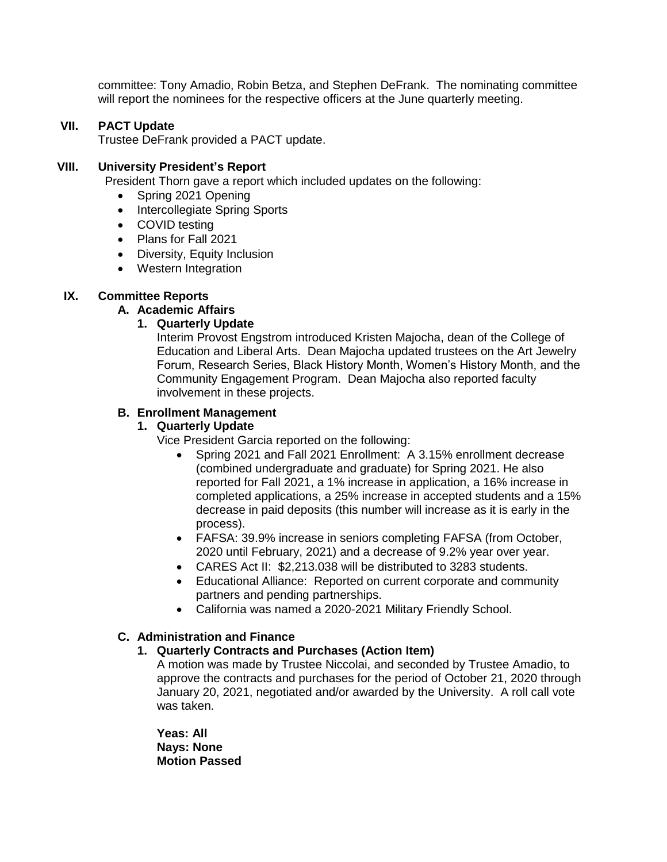committee: Tony Amadio, Robin Betza, and Stephen DeFrank. The nominating committee will report the nominees for the respective officers at the June quarterly meeting.

#### **VII. PACT Update**

Trustee DeFrank provided a PACT update.

#### **VIII. University President's Report**

President Thorn gave a report which included updates on the following:

- Spring 2021 Opening
- Intercollegiate Spring Sports
- COVID testing
- Plans for Fall 2021
- Diversity, Equity Inclusion
- Western Integration

#### **IX. Committee Reports**

#### **A. Academic Affairs**

#### **1. Quarterly Update**

Interim Provost Engstrom introduced Kristen Majocha, dean of the College of Education and Liberal Arts. Dean Majocha updated trustees on the Art Jewelry Forum, Research Series, Black History Month, Women's History Month, and the Community Engagement Program. Dean Majocha also reported faculty involvement in these projects.

#### **B. Enrollment Management**

#### **1. Quarterly Update**

Vice President Garcia reported on the following:

- Spring 2021 and Fall 2021 Enrollment: A 3.15% enrollment decrease (combined undergraduate and graduate) for Spring 2021. He also reported for Fall 2021, a 1% increase in application, a 16% increase in completed applications, a 25% increase in accepted students and a 15% decrease in paid deposits (this number will increase as it is early in the process).
- FAFSA: 39.9% increase in seniors completing FAFSA (from October, 2020 until February, 2021) and a decrease of 9.2% year over year.
- CARES Act II: \$2,213.038 will be distributed to 3283 students.
- Educational Alliance: Reported on current corporate and community partners and pending partnerships.
- California was named a 2020-2021 Military Friendly School.

#### **C. Administration and Finance**

#### **1. Quarterly Contracts and Purchases (Action Item)**

A motion was made by Trustee Niccolai, and seconded by Trustee Amadio, to approve the contracts and purchases for the period of October 21, 2020 through January 20, 2021, negotiated and/or awarded by the University. A roll call vote was taken.

**Yeas: All Nays: None Motion Passed**